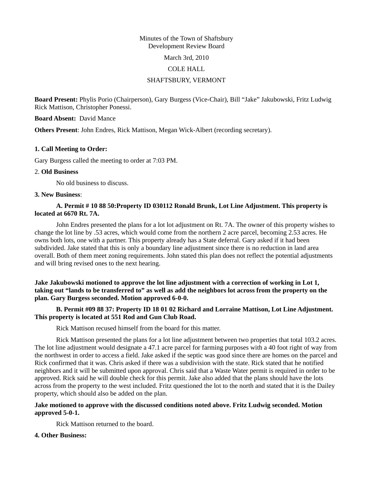## Minutes of the Town of Shaftsbury Development Review Board

March 3rd, 2010

### COLE HALL

# SHAFTSBURY, VERMONT

**Board Present:** Phylis Porio (Chairperson), Gary Burgess (Vice-Chair), Bill "Jake" Jakubowski, Fritz Ludwig Rick Mattison, Christopher Ponessi.

## **Board Absent:** David Mance

**Others Present**: John Endres, Rick Mattison, Megan Wick-Albert (recording secretary).

## **1. Call Meeting to Order:**

Gary Burgess called the meeting to order at 7:03 PM.

### 2. **Old Business**

No old business to discuss.

#### **3. New Business**:

# **A. Permit # 10 88 50:Property ID 030112 Ronald Brunk, Lot Line Adjustment. This property is located at 6670 Rt. 7A.**

John Endres presented the plans for a lot lot adjustment on Rt. 7A. The owner of this property wishes to change the lot line by .53 acres, which would come from the northern 2 acre parcel, becoming 2.53 acres. He owns both lots, one with a partner. This property already has a State deferral. Gary asked if it had been subdivided. Jake stated that this is only a boundary line adjustment since there is no reduction in land area overall. Both of them meet zoning requirements. John stated this plan does not reflect the potential adjustments and will bring revised ones to the next hearing.

**Jake Jakubowski motioned to approve the lot line adjustment with a correction of working in Lot 1, taking out "lands to be transferred to" as well as add the neighbors lot across from the property on the plan. Gary Burgess seconded. Motion approved 6-0-0.** 

# **B. Permit #09 88 37: Property ID 18 01 02 Richard and Lorraine Mattison, Lot Line Adjustment. This property is located at 551 Rod and Gun Club Road.**

Rick Mattison recused himself from the board for this matter.

Rick Mattison presented the plans for a lot line adjustment between two properties that total 103.2 acres. The lot line adjustment would designate a 47.1 acre parcel for farming purposes with a 40 foot right of way from the northwest in order to access a field. Jake asked if the septic was good since there are homes on the parcel and Rick confirmed that it was. Chris asked if there was a subdivision with the state. Rick stated that he notified neighbors and it will be submitted upon approval. Chris said that a Waste Water permit is required in order to be approved. Rick said he will double check for this permit. Jake also added that the plans should have the lots across from the property to the west included. Fritz questioned the lot to the north and stated that it is the Dailey property, which should also be added on the plan.

## **Jake motioned to approve with the discussed conditions noted above. Fritz Ludwig seconded. Motion approved 5-0-1.**

Rick Mattison returned to the board.

## **4. Other Business:**